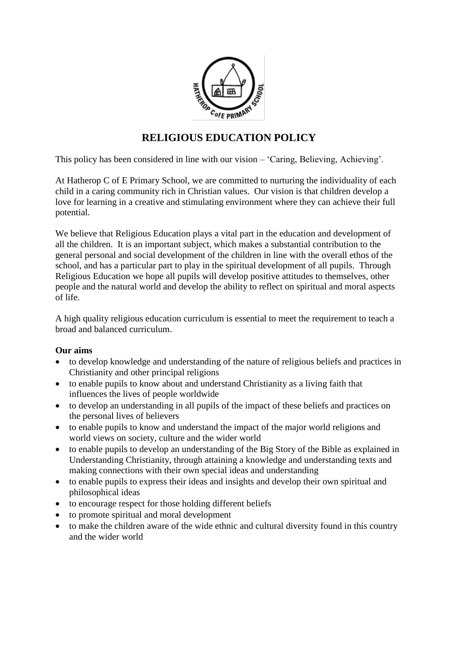

# **RELIGIOUS EDUCATION POLICY**

This policy has been considered in line with our vision – 'Caring, Believing, Achieving'.

At Hatherop C of E Primary School, we are committed to nurturing the individuality of each child in a caring community rich in Christian values. Our vision is that children develop a love for learning in a creative and stimulating environment where they can achieve their full potential.

We believe that Religious Education plays a vital part in the education and development of all the children. It is an important subject, which makes a substantial contribution to the general personal and social development of the children in line with the overall ethos of the school, and has a particular part to play in the spiritual development of all pupils. Through Religious Education we hope all pupils will develop positive attitudes to themselves, other people and the natural world and develop the ability to reflect on spiritual and moral aspects of life.

A high quality religious education curriculum is essential to meet the requirement to teach a broad and balanced curriculum.

## **Our aims**

- to develop knowledge and understanding of the nature of religious beliefs and practices in Christianity and other principal religions
- to enable pupils to know about and understand Christianity as a living faith that influences the lives of people worldwide
- to develop an understanding in all pupils of the impact of these beliefs and practices on the personal lives of believers
- to enable pupils to know and understand the impact of the major world religions and world views on society, culture and the wider world
- to enable pupils to develop an understanding of the Big Story of the Bible as explained in Understanding Christianity, through attaining a knowledge and understanding texts and making connections with their own special ideas and understanding
- to enable pupils to express their ideas and insights and develop their own spiritual and philosophical ideas
- to encourage respect for those holding different beliefs
- to promote spiritual and moral development
- to make the children aware of the wide ethnic and cultural diversity found in this country and the wider world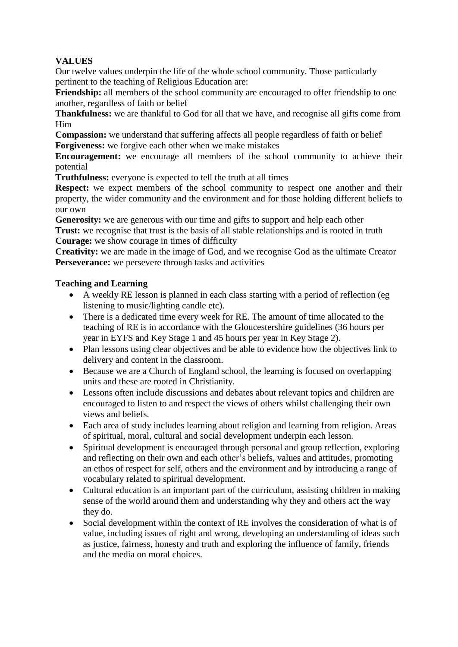# **VALUES**

Our twelve values underpin the life of the whole school community. Those particularly pertinent to the teaching of Religious Education are:

**Friendship:** all members of the school community are encouraged to offer friendship to one another, regardless of faith or belief

**Thankfulness:** we are thankful to God for all that we have, and recognise all gifts come from Him

**Compassion:** we understand that suffering affects all people regardless of faith or belief **Forgiveness:** we forgive each other when we make mistakes

**Encouragement:** we encourage all members of the school community to achieve their potential

**Truthfulness:** everyone is expected to tell the truth at all times

**Respect:** we expect members of the school community to respect one another and their property, the wider community and the environment and for those holding different beliefs to our own

**Generosity:** we are generous with our time and gifts to support and help each other **Trust:** we recognise that trust is the basis of all stable relationships and is rooted in truth **Courage:** we show courage in times of difficulty

**Creativity:** we are made in the image of God, and we recognise God as the ultimate Creator **Perseverance:** we persevere through tasks and activities

## **Teaching and Learning**

- A weekly RE lesson is planned in each class starting with a period of reflection (eg listening to music/lighting candle etc).
- There is a dedicated time every week for RE. The amount of time allocated to the teaching of RE is in accordance with the Gloucestershire guidelines (36 hours per year in EYFS and Key Stage 1 and 45 hours per year in Key Stage 2).
- Plan lessons using clear objectives and be able to evidence how the objectives link to delivery and content in the classroom.
- Because we are a Church of England school, the learning is focused on overlapping units and these are rooted in Christianity.
- Lessons often include discussions and debates about relevant topics and children are encouraged to listen to and respect the views of others whilst challenging their own views and beliefs.
- Each area of study includes learning about religion and learning from religion. Areas of spiritual, moral, cultural and social development underpin each lesson.
- Spiritual development is encouraged through personal and group reflection, exploring and reflecting on their own and each other's beliefs, values and attitudes, promoting an ethos of respect for self, others and the environment and by introducing a range of vocabulary related to spiritual development.
- Cultural education is an important part of the curriculum, assisting children in making sense of the world around them and understanding why they and others act the way they do.
- Social development within the context of RE involves the consideration of what is of value, including issues of right and wrong, developing an understanding of ideas such as justice, fairness, honesty and truth and exploring the influence of family, friends and the media on moral choices.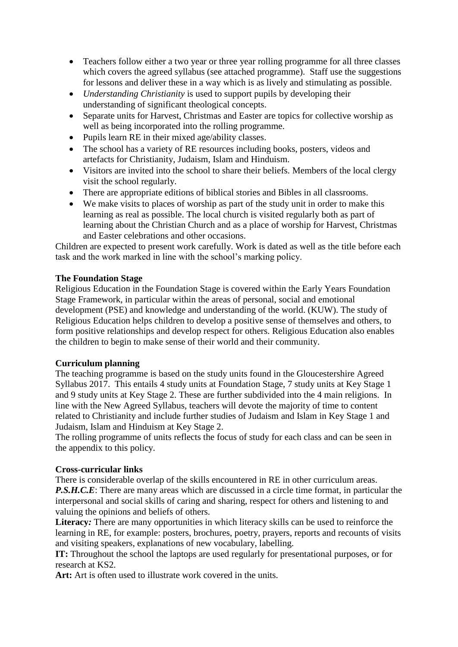- Teachers follow either a two year or three year rolling programme for all three classes which covers the agreed syllabus (see attached programme). Staff use the suggestions for lessons and deliver these in a way which is as lively and stimulating as possible.
- *Understanding Christianity* is used to support pupils by developing their understanding of significant theological concepts.
- Separate units for Harvest, Christmas and Easter are topics for collective worship as well as being incorporated into the rolling programme.
- Pupils learn RE in their mixed age/ability classes.
- The school has a variety of RE resources including books, posters, videos and artefacts for Christianity, Judaism, Islam and Hinduism.
- Visitors are invited into the school to share their beliefs. Members of the local clergy visit the school regularly.
- There are appropriate editions of biblical stories and Bibles in all classrooms.
- We make visits to places of worship as part of the study unit in order to make this learning as real as possible. The local church is visited regularly both as part of learning about the Christian Church and as a place of worship for Harvest, Christmas and Easter celebrations and other occasions.

Children are expected to present work carefully. Work is dated as well as the title before each task and the work marked in line with the school's marking policy.

## **The Foundation Stage**

Religious Education in the Foundation Stage is covered within the Early Years Foundation Stage Framework, in particular within the areas of personal, social and emotional development (PSE) and knowledge and understanding of the world. (KUW). The study of Religious Education helps children to develop a positive sense of themselves and others, to form positive relationships and develop respect for others. Religious Education also enables the children to begin to make sense of their world and their community.

## **Curriculum planning**

The teaching programme is based on the study units found in the Gloucestershire Agreed Syllabus 2017. This entails 4 study units at Foundation Stage, 7 study units at Key Stage 1 and 9 study units at Key Stage 2. These are further subdivided into the 4 main religions. In line with the New Agreed Syllabus, teachers will devote the majority of time to content related to Christianity and include further studies of Judaism and Islam in Key Stage 1 and Judaism, Islam and Hinduism at Key Stage 2.

The rolling programme of units reflects the focus of study for each class and can be seen in the appendix to this policy.

## **Cross-curricular links**

There is considerable overlap of the skills encountered in RE in other curriculum areas. *P.S.H.C.E*: There are many areas which are discussed in a circle time format, in particular the interpersonal and social skills of caring and sharing, respect for others and listening to and valuing the opinions and beliefs of others.

**Literacy***:* There are many opportunities in which literacy skills can be used to reinforce the learning in RE, for example: posters, brochures, poetry, prayers, reports and recounts of visits and visiting speakers, explanations of new vocabulary, labelling.

**IT:** Throughout the school the laptops are used regularly for presentational purposes, or for research at KS2.

**Art:** Art is often used to illustrate work covered in the units.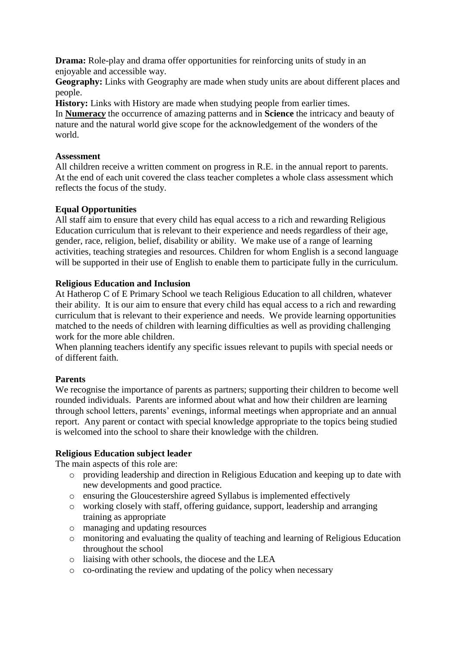**Drama:** Role-play and drama offer opportunities for reinforcing units of study in an enjoyable and accessible way.

**Geography:** Links with Geography are made when study units are about different places and people.

**History:** Links with History are made when studying people from earlier times.

In **Numerac***y* the occurrence of amazing patterns and in **Science** the intricacy and beauty of nature and the natural world give scope for the acknowledgement of the wonders of the world.

#### **Assessment**

All children receive a written comment on progress in R.E. in the annual report to parents. At the end of each unit covered the class teacher completes a whole class assessment which reflects the focus of the study.

## **Equal Opportunities**

All staff aim to ensure that every child has equal access to a rich and rewarding Religious Education curriculum that is relevant to their experience and needs regardless of their age, gender, race, religion, belief, disability or ability. We make use of a range of learning activities, teaching strategies and resources. Children for whom English is a second language will be supported in their use of English to enable them to participate fully in the curriculum.

#### **Religious Education and Inclusion**

At Hatherop C of E Primary School we teach Religious Education to all children, whatever their ability. It is our aim to ensure that every child has equal access to a rich and rewarding curriculum that is relevant to their experience and needs. We provide learning opportunities matched to the needs of children with learning difficulties as well as providing challenging work for the more able children.

When planning teachers identify any specific issues relevant to pupils with special needs or of different faith.

## **Parents**

We recognise the importance of parents as partners; supporting their children to become well rounded individuals. Parents are informed about what and how their children are learning through school letters, parents' evenings, informal meetings when appropriate and an annual report. Any parent or contact with special knowledge appropriate to the topics being studied is welcomed into the school to share their knowledge with the children.

#### **Religious Education subject leader**

The main aspects of this role are:

- o providing leadership and direction in Religious Education and keeping up to date with new developments and good practice.
- o ensuring the Gloucestershire agreed Syllabus is implemented effectively
- o working closely with staff, offering guidance, support, leadership and arranging training as appropriate
- o managing and updating resources
- o monitoring and evaluating the quality of teaching and learning of Religious Education throughout the school
- o liaising with other schools, the diocese and the LEA
- o co-ordinating the review and updating of the policy when necessary